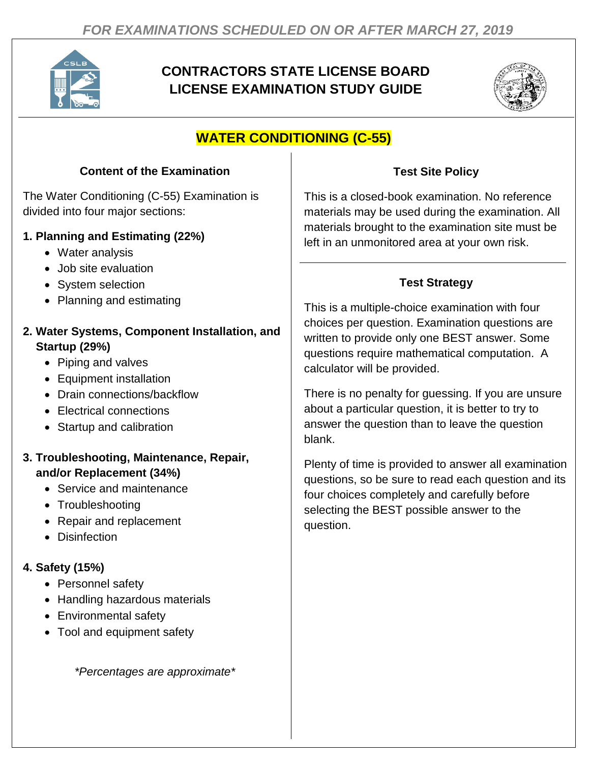

# **CONTRACTORS STATE LICENSE BOARD LICENSE EXAMINATION STUDY GUIDE**



# **WATER CONDITIONING (C-55)**

#### **Content of the Examination**

The Water Conditioning (C-55) Examination is divided into four major sections:

#### **1. Planning and Estimating (22%)**

- Water analysis
- Job site evaluation
- System selection
- Planning and estimating

### **2. Water Systems, Component Installation, and Startup (29%)**

- Piping and valves
- Equipment installation
- Drain connections/backflow
- Electrical connections
- Startup and calibration

### **3. Troubleshooting, Maintenance, Repair, and/or Replacement (34%)**

- Service and maintenance
- Troubleshooting
- Repair and replacement
- Disinfection

## **4. Safety (15%)**

- Personnel safety
- Handling hazardous materials
- Environmental safety
- Tool and equipment safety

*\*Percentages are approximate\**

### **Test Site Policy**

This is a closed-book examination. No reference materials may be used during the examination. All materials brought to the examination site must be left in an unmonitored area at your own risk.

## **Test Strategy**

This is a multiple-choice examination with four choices per question. Examination questions are written to provide only one BEST answer. Some questions require mathematical computation. A calculator will be provided.

There is no penalty for guessing. If you are unsure about a particular question, it is better to try to answer the question than to leave the question blank.

Plenty of time is provided to answer all examination questions, so be sure to read each question and its four choices completely and carefully before selecting the BEST possible answer to the question.